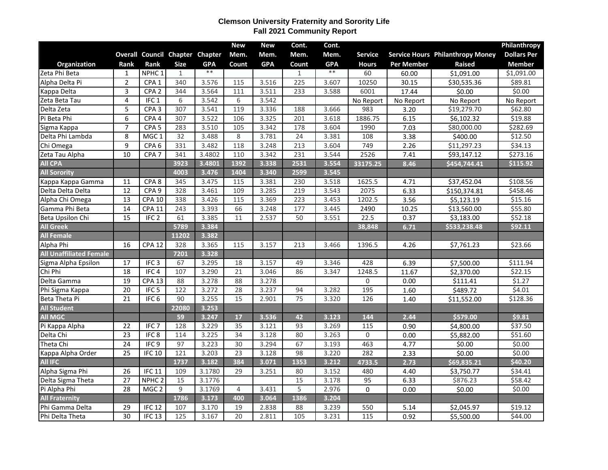## **Clemson University Fraternity and Sorority Life Fall 2021 Community Report**

|                                |                 |                   |                                 |            | <b>New</b>       | <b>New</b> | Cont. | Cont.      |                   |            |                                         | Philanthropy       |
|--------------------------------|-----------------|-------------------|---------------------------------|------------|------------------|------------|-------|------------|-------------------|------------|-----------------------------------------|--------------------|
|                                |                 |                   | Overall Council Chapter Chapter |            | Mem.             | Mem.       | Mem.  | Mem.       | <b>Service</b>    |            | <b>Service Hours Philanthropy Money</b> | <b>Dollars Per</b> |
| Organization                   | Rank            | <b>Rank</b>       | <b>Size</b>                     | <b>GPA</b> | Count            | <b>GPA</b> | Count | <b>GPA</b> | <b>Hours</b>      | Per Member | <b>Raised</b>                           | <b>Member</b>      |
| Zeta Phi Beta                  | 1               | NPHC <sub>1</sub> | 1                               | $**$       |                  |            | 1     | $**$       | 60                | 60.00      | \$1,091.00                              | \$1,091.00         |
| Alpha Delta Pi                 | $\overline{2}$  | CPA <sub>1</sub>  | 340                             | 3.576      | $\overline{115}$ | 3.516      | 225   | 3.607      | 10250             | 30.15      | \$30,535.36                             | \$89.81            |
| Kappa Delta                    | 3               | CPA <sub>2</sub>  | 344                             | 3.564      | 111              | 3.511      | 233   | 3.588      | 6001              | 17.44      | \$0.00                                  | \$0.00             |
| Zeta Beta Tau                  | 4               | IFC <sub>1</sub>  | 6                               | 3.542      | 6                | 3.542      |       |            | No Report         | No Report  | No Report                               | No Report          |
| Delta Zeta                     | $\overline{5}$  | CPA <sub>3</sub>  | 307                             | 3.541      | 119              | 3.336      | 188   | 3.666      | 983               | 3.20       | \$19,279.70                             | \$62.80            |
| Pi Beta Phi                    | 6               | CPA <sub>4</sub>  | 307                             | 3.522      | 106              | 3.325      | 201   | 3.618      | 1886.75           | 6.15       | \$6,102.32                              | \$19.88            |
| Sigma Kappa                    | $\overline{7}$  | CPA <sub>5</sub>  | 283                             | 3.510      | 105              | 3.342      | 178   | 3.604      | 1990              | 7.03       | \$80,000.00                             | \$282.69           |
| Delta Phi Lambda               | 8               | MGC <sub>1</sub>  | 32                              | 3.488      | 8                | 3.781      | 24    | 3.381      | 108               | 3.38       | \$400.00                                | \$12.50            |
| Chi Omega                      | 9               | CPA <sub>6</sub>  | 331                             | 3.482      | 118              | 3.248      | 213   | 3.604      | 749               | 2.26       | \$11,297.23                             | \$34.13            |
| Zeta Tau Alpha                 | 10              | CPA <sub>7</sub>  | 341                             | 3.4802     | 110              | 3.342      | 231   | 3.544      | 2526              | 7.41       | \$93,147.12                             | \$273.16           |
| <b>All CPA</b>                 |                 |                   | 3923                            | 3.4801     | 1392             | 3.338      | 2531  | 3.554      | 33175.25          | 8.46       | \$454,744.41                            | \$115.92           |
| <b>All Sorority</b>            |                 |                   | 4003                            | 3.476      | 1404             | 3.340      | 2599  | 3.545      |                   |            |                                         |                    |
| Kappa Kappa Gamma              | 11              | CPA <sub>8</sub>  | 345                             | 3.475      | 115              | 3.381      | 230   | 3.518      | 1625.5            | 4.71       | \$37,452.04                             | \$108.56           |
| Delta Delta Delta              | 12              | CPA <sub>9</sub>  | 328                             | 3.461      | 109              | 3.285      | 219   | 3.543      | 2075              | 6.33       | \$150,374.81                            | \$458.46           |
| Alpha Chi Omega                | 13              | <b>CPA 10</b>     | 338                             | 3.426      | 115              | 3.369      | 223   | 3.453      | 1202.5            | 3.56       | \$5,123.19                              | \$15.16            |
| Gamma Phi Beta                 | 14              | <b>CPA 11</b>     | 243                             | 3.393      | 66               | 3.248      | 177   | 3.445      | 2490              | 10.25      | \$13,560.00                             | \$55.80            |
| Beta Upsilon Chi               | 15              | IFC <sub>2</sub>  | 61                              | 3.385      | 11               | 2.537      | 50    | 3.551      | 22.5              | 0.37       | \$3,183.00                              | \$52.18            |
| <b>All Greek</b>               |                 |                   | 5789                            | 3.384      |                  |            |       |            | 38,848            | 6.71       | \$533,238.48                            | \$92.11            |
| <b>All Female</b>              |                 |                   | 11202                           | 3.382      |                  |            |       |            |                   |            |                                         |                    |
| Alpha Phi                      | 16              | <b>CPA 12</b>     | 328                             | 3.365      | 115              | 3.157      | 213   | 3.466      | 1396.5            | 4.26       | \$7,761.23                              | \$23.66            |
| <b>All Unaffiliated Female</b> |                 |                   | 7201                            | 3.328      |                  |            |       |            |                   |            |                                         |                    |
| Sigma Alpha Epsilon            | 17              | IFC <sub>3</sub>  | 67                              | 3.295      | 18               | 3.157      | 49    | 3.346      | 428               | 6.39       | \$7,500.00                              | \$111.94           |
| Chi Phi                        | 18              | IFC <sub>4</sub>  | 107                             | 3.290      | 21               | 3.046      | 86    | 3.347      | 1248.5            | 11.67      | \$2,370.00                              | \$22.15            |
| Delta Gamma                    | 19              | <b>CPA 13</b>     | 88                              | 3.278      | 88               | 3.278      |       |            | $\mathbf 0$       | 0.00       | \$111.41                                | \$1.27             |
| Phi Sigma Kappa                | 20              | IFC <sub>5</sub>  | 122                             | 3.272      | 28               | 3.237      | 94    | 3.282      | 195               | 1.60       | \$489.72                                | \$4.01             |
| Beta Theta Pi                  | 21              | IFC <sub>6</sub>  | 90                              | 3.255      | 15               | 2.901      | 75    | 3.320      | 126               | 1.40       | \$11,552.00                             | \$128.36           |
| <b>All Student</b>             |                 |                   | 22080                           | 3.253      |                  |            |       |            |                   |            |                                         |                    |
| <b>All MGC</b>                 |                 |                   | 59                              | 3.247      | 17               | 3.536      | 42    | 3.123      | 144               | 2.44       | \$579.00                                | \$9.81             |
| Pi Kappa Alpha                 | 22              | IFC <sub>7</sub>  | 128                             | 3.229      | 35               | 3.121      | 93    | 3.269      | 115               | 0.90       | \$4,800.00                              | \$37.50            |
| Delta Chi                      | $\overline{23}$ | IFC <sub>8</sub>  | 114                             | 3.225      | $\overline{34}$  | 3.128      | 80    | 3.263      | $\mathsf 0$       | 0.00       | \$5,882.00                              | \$51.60            |
| Theta Chi                      | $\overline{24}$ | IFC9              | 97                              | 3.223      | 30               | 3.294      | 67    | 3.193      | 463               | 4.77       | \$0.00                                  | \$0.00             |
| Kappa Alpha Order              | 25              | IFC <sub>10</sub> | $\overline{121}$                | 3.203      | $\overline{23}$  | 3.128      | 98    | 3.220      | 282               | 2.33       | \$0.00                                  | \$0.00             |
| <b>All IFC</b>                 |                 |                   | 1737                            | 3.182      | 384              | 3.071      | 1353  | 3.212      | 4733.5            | 2.73       | \$69,835.21                             | \$40.20            |
| Alpha Sigma Phi                | $\overline{26}$ | IFC <sub>11</sub> | 109                             | 3.1780     | 29               | 3.251      | 80    | 3.152      | 480               | 4.40       | \$3,750.77                              | \$34.41            |
| Delta Sigma Theta              | 27              | NPHC <sub>2</sub> | 15                              | 3.1776     |                  |            | 15    | 3.178      | 95                | 6.33       | \$876.23                                | \$58.42            |
| Pi Alpha Phi                   | 28              | MGC <sub>2</sub>  | 9                               | 3.1769     | 4                | 3.431      | 5     | 2.976      | $\mathbf 0$       | 0.00       | \$0.00                                  | \$0.00             |
| <b>All Fraternity</b>          |                 |                   | 1786                            | 3.173      | 400              | 3.064      | 1386  | 3.204      |                   |            |                                         |                    |
| Phi Gamma Delta                | 29              | IFC <sub>12</sub> | 107                             | 3.170      | 19               | 2.838      | 88    | 3.239      | 550               | 5.14       | \$2,045.97                              | \$19.12            |
| Phi Delta Theta                | $\overline{30}$ | IFC <sub>13</sub> | $\frac{125}{25}$                | 3.167      | $\overline{20}$  | 2.811      | 105   | 3.231      | $\frac{115}{115}$ | 0.92       | \$5,500.00                              | \$44.00            |